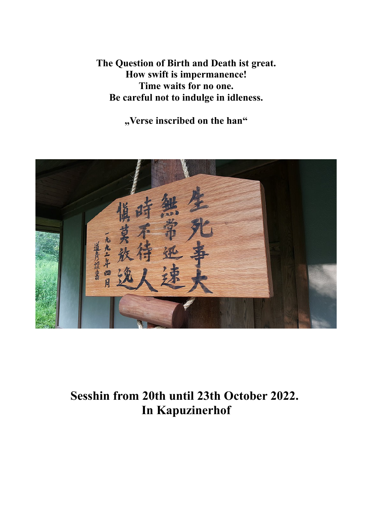**The Question of Birth and Death ist great. How swift is impermanence! Time waits for no one. Be careful not to indulge in idleness.**

**"Verse inscribed on the han"**



**Sesshin from 20th until 23th October 2022. In Kapuzinerhof**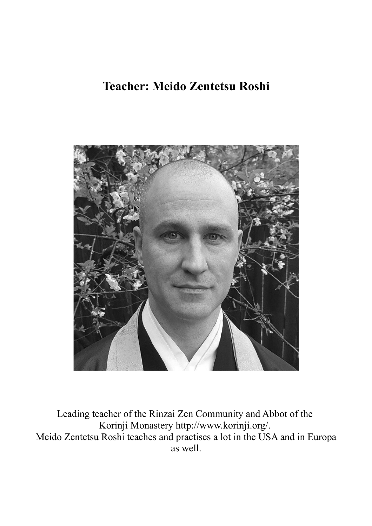# **Teacher: Meido Zentetsu Roshi**



Leading teacher of the Rinzai Zen Community and Abbot of the Korinji Monastery http://www.korinji.org/. Meido Zentetsu Roshi teaches and practises a lot in the USA and in Europa as well.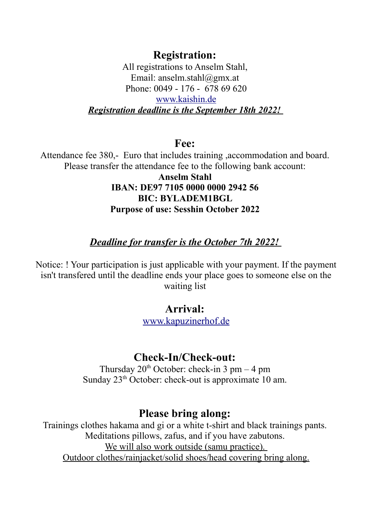**Registration:** 

All registrations to Anselm Stahl, Email: anselm.stahl@gmx.at Phone: 0049 - 176 - 678 69 620 [www.kaishin.de](http://www.kaishin.de/) *Registration deadline is the September 18th 2022!* 

**Fee:** 

Attendance fee 380,- Euro that includes training ,accommodation and board. Please transfer the attendance fee to the following bank account:

> **Anselm Stahl IBAN: DE97 7105 0000 0000 2942 56 BIC: BYLADEM1BGL Purpose of use: Sesshin October 2022**

## *Deadline for transfer is the October 7th 2022!*

Notice: ! Your participation is just applicable with your payment. If the payment isn't transfered until the deadline ends your place goes to someone else on the waiting list

#### **Arrival:**

[www.kapuzinerhof.de](http://www.kapuzinerhof.de/)

## **Check-In/Check-out:**

Thursday  $20^{th}$  October: check-in 3 pm – 4 pm Sunday  $23<sup>th</sup>$  October: check-out is approximate 10 am.

## **Please bring along:**

Trainings clothes hakama and gi or a white t-shirt and black trainings pants. Meditations pillows, zafus, and if you have zabutons. We will also work outside (samu practice). Outdoor clothes/rainjacket/solid shoes/head covering bring along.